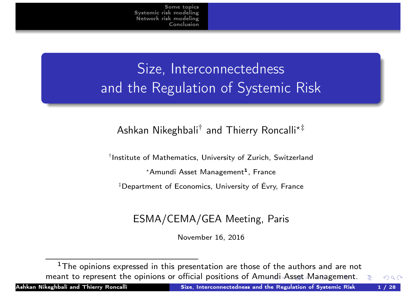# Size, Interconnectedness and the Regulation of Systemic Risk

#### Ashkan Nikeghbali<sup>†</sup> and Thierry Roncalli\*<sup>‡</sup>

<span id="page-0-0"></span>† Institute of Mathematics, University of Zurich, Switzerland

 $^\star$ Amundi Asset Management $^{\texttt{1}}$ , France

‡ Department of Economics, University of Évry, France

#### ESMA/CEMA/GEA Meeting, Paris

November 16, 2016

 $^{\rm 1}{\rm The}$  opinions expressed in this presentation are those of the authors and are not meant to represent the opinions or official positions of Amundi Asset Management.

Ashkan Nikeghbali and Thierry Ro[nca](#page-0-0)[lli](#page-1-0) **Size, Interconnectedness and the Regul**ation of Syste<u>mic Risk 1 / 28 Ashkan 1 / 28</u>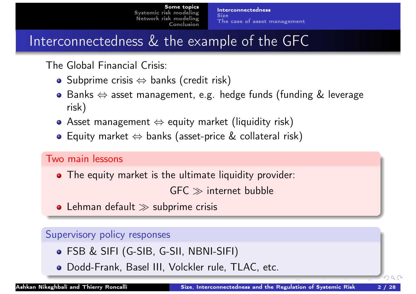## Interconnectedness & the example of the GFC

The Global Financial Crisis:

- $\bullet$  Subprime crisis  $\Leftrightarrow$  banks (credit risk)
- Banks ⇔ asset management, e.g. hedge funds (funding & leverage risk)
- Asset management  $\Leftrightarrow$  equity market (liquidity risk)
- Equity market ⇔ banks (asset-price & collateral risk)

#### <span id="page-1-0"></span>[Two main lessons](#page-1-0)

• [The](#page-23-0) [e](#page-23-0)[quity](#page-3-0) [market](#page-3-0) [is](#page-3-0) [the](#page-3-0) [u](#page-3-0)ltimate liquidity provider:

 $GFC \gg$  internet bubble

• Lehman default  $\gg$  subprime crisis

#### Supervisory policy responses

- FSB & SIFI (G-SIB, G-SII, NBNI-SIFI)
- Dodd-Frank, Basel III, Volckler rule, TLAC, etc.

つひつ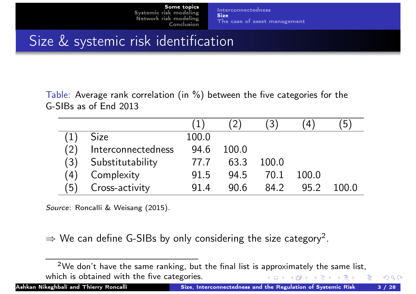**Interconnectedness Size** The case of asset management

# Size & systemic risk identification

Table: Average rank correlation (in %) between the five categories for the G-SIBs as of End 2013

|     |                    |       |       | $\left(3\right)$ | 4     | 5     |
|-----|--------------------|-------|-------|------------------|-------|-------|
|     | <b>Size</b>        | 100.0 |       |                  |       |       |
| (2) | Interconnectedness | 94.6  | 100.0 |                  |       |       |
| (3) | Substitutability   | 77.7  | 63.3  | 100.0            |       |       |
| (4) | Complexity         | 91.5  | 94.5  | 70.1             | 100.0 |       |
| (5) | Cross-activity     | 91.4  | 90f   | 84.2             | 95.2  | 100 O |

<span id="page-2-0"></span>Source: Roncalli & Weisang (2015).

 $\Rightarrow$  We can define G-SIBs by only considering the size category<sup>2</sup>.

 $^2$ We don't have the same ranking, but the final list is approximately the same list, which is obtained with the five categories. 

Ashkan Nikeghbali and Thierry Ro[nca](#page-1-0)[lli](#page-3-0) Size, Interconnectedness and the Regulation of Systemic Risk 3 / 28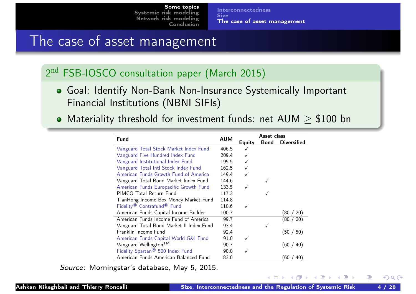Interconnectedness **Size** The case of asset management

### The case of asset management

#### 2<sup>nd</sup> FSB-IOSCO consultation paper (March 2015)

- Goal: Identify Non-Bank Non-Insurance Systemically Important Financial Institutions (NBNI SIFIs)
- <span id="page-3-0"></span>• Materiality threshold for investment funds: net  $AUM > $100$  bn

| <b>Fund</b>                                        |       | Asset class   |      |                    |  |
|----------------------------------------------------|-------|---------------|------|--------------------|--|
|                                                    |       | <b>Equity</b> | Bond | <b>Diversified</b> |  |
| Vanguard Total Stock Market Index Fund             | 406.5 |               |      |                    |  |
| Vanguard Five Hundred Index Fund                   | 209.4 |               |      |                    |  |
| Vanguard Institutional Index Fund                  | 195.5 |               |      |                    |  |
| Vanguard Total Intl Stock Index Fund               | 162.5 |               |      |                    |  |
| American Funds Growth Fund of America              | 149.4 |               |      |                    |  |
| Vanguard Total Bond Market Index Fund              | 144.6 |               |      |                    |  |
| American Funds Europacific Growth Fund             | 133.5 |               |      |                    |  |
| PIMCO Total Return Fund                            | 117.3 |               |      |                    |  |
| TianHong Income Box Money Market Fund              | 114.8 |               |      |                    |  |
| Fidelity <sup>®</sup> Contrafund <sup>®</sup> Fund | 110.6 |               |      |                    |  |
| American Funds Capital Income Builder              | 100.7 |               |      | (80 /<br>20        |  |
| American Funds Income Fund of America              | 99.7  |               |      | (80 /<br>20        |  |
| Vanguard Total Bond Market II Index Fund           | 93.4  |               |      |                    |  |
| Franklin Income Fund                               | 92.4  |               |      | (50 / 50)          |  |
| American Funds Capital World G&I Fund              | 91.0  |               |      |                    |  |
| Vanguard Wellington <sup>TM</sup>                  | 90.7  |               |      | (60 / 40)          |  |
| Fidelity Spartan® 500 Index Fund                   | 90.0  |               |      |                    |  |
| American Funds American Balanced Fund              | 83.0  |               |      | (60 /<br>40        |  |

Source: Morningstar's database, May 5, 2015.

 $A \Box$   $\rightarrow$   $A \Box P$   $\rightarrow$   $A \Box P$   $\rightarrow$ 

э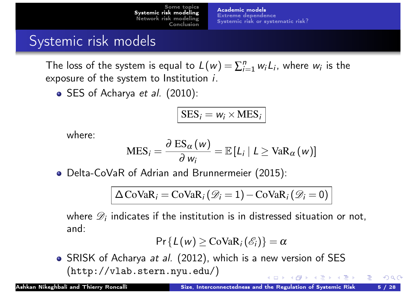Academic models Extreme dependence Systemic risk or systematic risk?

### Systemic risk models

The loss of the system is equal to  $L(w) = \sum_{i=1}^n w_i$  $\int_{i=1}^n w_i L_i$ , where  $w_i$  is the exposure of the system to Institution i.

• SES of Acharya et al. (2010):

$$
SES_i = w_i \times MES_i
$$

where:

$$
\text{MES}_{i} = \frac{\partial \text{ ES}_{\alpha}(w)}{\partial w_{i}} = \mathbb{E}[L_{i} | L \geq \text{VaR}_{\alpha}(w)]
$$

<span id="page-4-0"></span>[Delta](#page-23-0)[-CoVaR](#page-7-0) [of](#page-7-0) [Adrian](#page-7-0) [an](#page-7-0)d Brunnermeier (2015):

$$
\Delta \text{CoVaR}_i = \text{CoVaR}_i \left( \mathcal{D}_i = 1 \right) - \text{CoVaR}_i \left( \mathcal{D}_i = 0 \right)
$$

where  $\mathscr{D}_i$  indicates if the institution is in distressed situation or not, and:

$$
\Pr\{L(w) \geq \text{CoVaR}_i(\mathscr{E}_i)\} = \alpha
$$

• SRISK of Acharya *at al.* (2012), which is a new version of SES (http://vlab.stern.nyu.edu/)  $\leftarrow$   $\leftarrow$   $\leftarrow$   $\leftarrow$   $\leftarrow$   $\leftarrow$   $\leftarrow$   $\leftarrow$   $\leftarrow$   $\leftarrow$   $\leftarrow$   $\leftarrow$   $\leftarrow$   $\leftarrow$   $\leftarrow$   $\leftarrow$   $\leftarrow$   $\leftarrow$   $\leftarrow$   $\leftarrow$   $\leftarrow$   $\leftarrow$   $\leftarrow$   $\leftarrow$   $\leftarrow$   $\leftarrow$   $\leftarrow$   $\leftarrow$   $\leftarrow$   $\leftarrow$   $\leftarrow$   $\leftarrow$   $\leftarrow$   $\leftarrow$   $\leftarrow$   $\leftarrow$   $\leftarrow$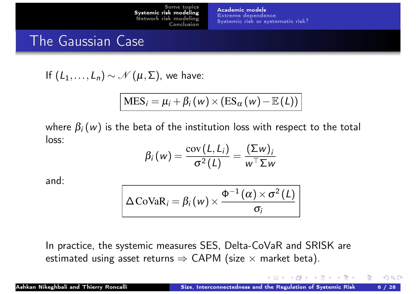Academic models Extreme dependence Systemic risk or systematic risk?

### The Gaussian Case

If 
$$
(L_1, ..., L_n) \sim \mathcal{N}(\mu, \Sigma)
$$
, we have:

$$
\text{MES}_{i} = \mu_{i} + \beta_{i}(w) \times (\text{ES}_{\alpha}(w) - \mathbb{E}(L))
$$

where  $\beta_i\left(\left.{\bm{w}}\right)$  is the beta of the institution loss with respect to the total loss:

$$
\beta_i(w) = \frac{\mathrm{cov}(L, L_i)}{\sigma^2(L)} = \frac{(\Sigma w)_i}{w^{\top} \Sigma w}
$$

<span id="page-5-0"></span>and:

$$
\Delta \mathrm{CoVaR}_{i} = \beta_{i}(w) \times \frac{\Phi^{-1}(\alpha) \times \sigma^{2}(L)}{\sigma_{i}}
$$

In practice, the systemic measures SES, Delta-CoVaR and SRISK are estimated using asset returns  $\Rightarrow$  CAPM (size  $\times$  market beta).

 $A \square$   $A$   $A \square$   $A$   $B$   $A$   $B$   $A$   $B$   $A$ 

æ.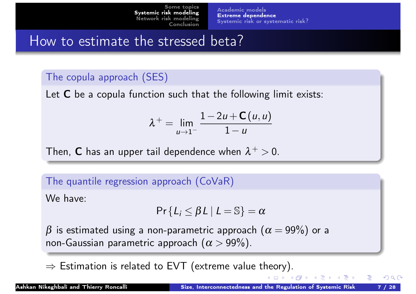Academic models Extreme dependence Systemic risk or systematic risk?

### How to estimate the stressed beta?

#### The copula approach (SES)

Let  $C$  be a copula function such that the following limit exists:

$$
\lambda^{+} = \lim_{u \to 1^{-}} \frac{1 - 2u + \mathsf{C}(u, u)}{1 - u}
$$

<span id="page-6-0"></span>Then,  $\boldsymbol{\mathsf{C}}$  has an upper tail dependence when  $\lambda^+>0.$ 

The quantile regression approach (CoVaR)

We have:

$$
\Pr\{L_i \leq \beta L \mid L = \mathbb{S}\} = \alpha
$$

 $\beta$  is estimated using a non-parametric approach  $(\alpha = 99\%)$  or a non-Gaussian parametric approach  $(\alpha > 99\%)$ .

 $\Rightarrow$  Estimation is related to EVT (extreme value theory).

(□ ▶ (何 ▶ (三 ▶ (三 )

つひい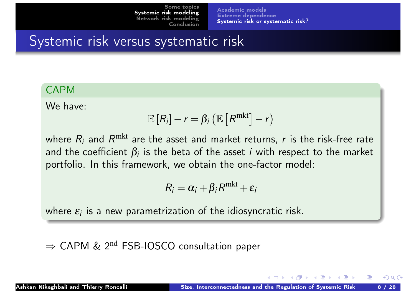Academic models Extreme dependence Systemic risk or systematic risk?

# Systemic risk versus systematic risk

#### CAPM

We have:

$$
\mathbb{E}[R_i]-r=\beta_i\left(\mathbb{E}\left[R^{\text{mkt}}\right]-r\right)
$$

<span id="page-7-0"></span>where  $R_i$  and  $R^{\mathrm{mkt}}$  are the asset and market returns,  $r$  is the risk-free rate and the coefficient  $\beta_i$  is the beta of the asset  $i$  with respect to the market [portfolio.](#page-4-0)[In](#page-7-0)[this](#page-7-0)[framework,](#page-7-0)[w](#page-7-0)e obtain the one-factor model:

$$
R_i = \alpha_i + \beta_i R^{\text{mkt}} + \varepsilon_i
$$

where  $\varepsilon_i$  is a new parametrization of the idiosyncratic risk.

 $\Rightarrow$  CAPM & 2<sup>nd</sup> FSB-IOSCO consultation paper

 $\leftarrow$   $\leftarrow$   $\leftarrow$   $\leftarrow$   $\leftarrow$   $\leftarrow$   $\leftarrow$   $\leftarrow$   $\leftarrow$   $\leftarrow$   $\leftarrow$   $\leftarrow$   $\leftarrow$   $\leftarrow$   $\leftarrow$   $\leftarrow$   $\leftarrow$   $\leftarrow$   $\leftarrow$   $\leftarrow$   $\leftarrow$   $\leftarrow$   $\leftarrow$   $\leftarrow$   $\leftarrow$   $\leftarrow$   $\leftarrow$   $\leftarrow$   $\leftarrow$   $\leftarrow$   $\leftarrow$   $\leftarrow$   $\leftarrow$   $\leftarrow$   $\leftarrow$   $\leftarrow$   $\leftarrow$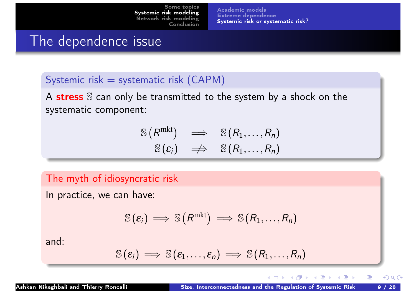Academic models Extreme dependence Systemic risk or systematic risk?

### The dependence issue

#### Systemic risk  $=$  systematic risk (CAPM)

A stress S can only be transmitted to the system by a shock on the systematic component:

$$
\begin{array}{ccc}\n\mathbb{S}(R^{\text{mkt}}) & \Longrightarrow & \mathbb{S}(R_1,\ldots,R_n) \\
\mathbb{S}(\varepsilon_i) & \Longrightarrow & \mathbb{S}(R_1,\ldots,R_n)\n\end{array}
$$

<span id="page-8-0"></span>The myth of idiosyncratic risk

In practice, we can have:

$$
\mathbb{S}(\varepsilon_i) \Longrightarrow \mathbb{S}(R^{\text{mkt}}) \Longrightarrow \mathbb{S}(R_1,\ldots,R_n)
$$

and:

$$
\mathbb{S}(\varepsilon_i) \implies \mathbb{S}(\varepsilon_1,\ldots,\varepsilon_n) \implies \mathbb{S}(R_1,\ldots,R_n)
$$

◀□▶ ◀何▶ ◀∃▶ ◀∃▶

∍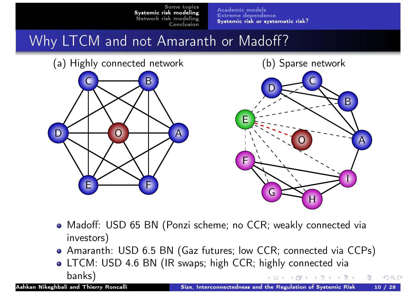Academic models Extreme dependence Systemic risk or systematic risk?

# Why LTCM and not Amaranth or Madoff?





- <span id="page-9-0"></span>Madoff: USD 65 BN (Ponzi scheme; no CCR; weakly connected via investors)
- Amaranth: USD 6.5 BN (Gaz futures; low CCR; connected via CCPs)
- LTCM: USD 4.6 BN (IR swaps; high CCR; highly connected via banks)  $\blacktriangleleft$   $\Box$   $\blacktriangleright$   $\blacktriangleleft$   $\overline{\Box}$   $\blacktriangleright$   $\blacktriangleleft$   $\overline{\Xi}$   $\blacktriangleright$   $\dashv$   $\overline{\Xi}$   $\blacktriangleright$   $\dashv$

æ.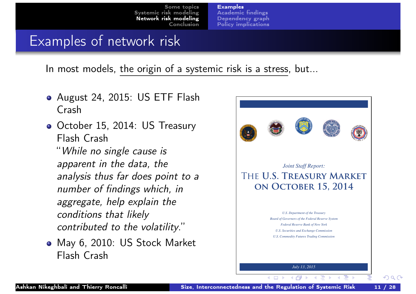Examples Academic findings Dependency graph Policy implications

### Examples of network risk

In most models, the origin of a systemic risk is a stress, but...

- August 24, 2015: US ETF Flash Crash
- October 15, 2014: US Treasury Flash Crash

<span id="page-10-0"></span>"While no single cause is [apparen](#page-4-0)[t in the data, the](#page-11-0) analysis thus far does point to a number of findings which, in aggregate, help explain the conditions that likely contributed to the volatility."

May 6, 2010: US Stock Market Flash Crash

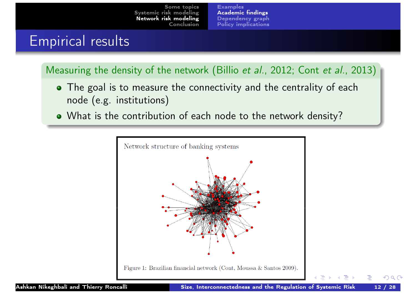**Examples** Academic findings Dependency graph Policy implications

### Empirical results

Measuring the density of the network (Billio et al., 2012; Cont et al., 2013)

- The goal is to measure the connectivity and the centrality of each node (e.g. institutions)
- <span id="page-11-0"></span>What is the contribution of each node to the network density?



œ

∃ ⊧

э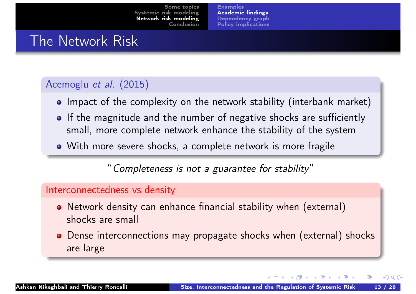Examples Academic findings Dependency graph Policy implications

### The Network Risk

#### Acemoglu et al. (2015)

- Impact of the complexity on the network stability (interbank market)
- If the magnitude and the number of negative shocks are sufficiently small, more complete network enhance the stability of the system
- With more severe shocks, a complete network is more fragile

"[Completeness is](#page-19-0) not a guarantee for stability"

#### <span id="page-12-0"></span>Interconnectedness vs density

- Network density can enhance financial stability when (external) shocks are small
- Dense interconnections may propagate shocks when (external) shocks are large

◀ □ ▶ ◀ 何 ▶ ◀ 로 ▶ ◀ 로 ▶

э.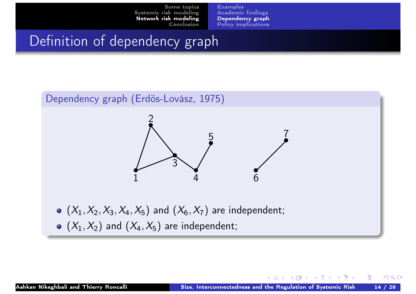Examples Academic findings Dependency graph Policy implications

### Definition of dependency graph

<span id="page-13-0"></span>

 $\left(\begin{array}{ccc} 1 & 1 & 1 & 1 \\ 1 & 1 & 1 & 1 \end{array}\right)$  ,  $\left(\begin{array}{ccc} 1 & 1 & 1 \\ 1 & 1 & 1 \end{array}\right)$  ,  $\left(\begin{array}{ccc} 1 & 1 & 1 \\ 1 & 1 & 1 \end{array}\right)$ 

æ.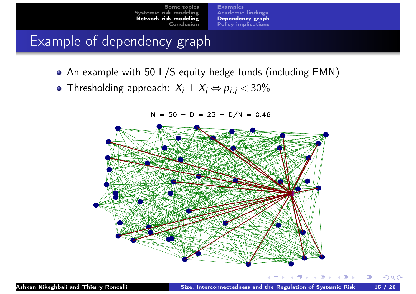Examples Academic findings Dependency graph Policy implications

# Example of dependency graph

- An example with 50 L/S equity hedge funds (including EMN)
- **•** Thresholding approach:  $X_i \perp X_j \Leftrightarrow \rho_{i,j} < 30\%$

 $N = 50 - D = 23 - D/N = 0.46$ 

<span id="page-14-0"></span>

◀ ㅁ ▶ ◀ @ ▶ ◀ 로 ▶ ◀ 로 ▶ │ 로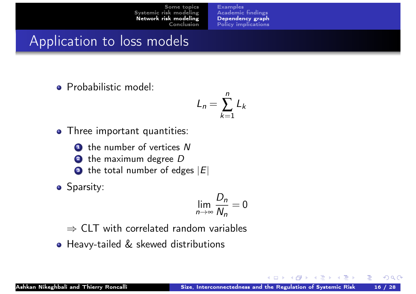Examples Academic findings Dependency graph Policy implications

### Application to loss models

Probabilistic model:

$$
L_n = \sum_{k=1}^n L_k
$$

n

**•** Three important quantities:

**1** the number of vertices N

- $\, {\bf 2} \,$  [the maximum degree](#page-10-0)  $D$
- $\bullet\,$  [the total number of ed](#page-19-0)ges  $|E|$
- <span id="page-15-0"></span>**o** Sparsity:

$$
\lim_{n\to\infty}\frac{D_n}{N_n}=0
$$

 $\Rightarrow$  CLT with correlated random variables

**• Heavy-tailed & skewed distributions** 

 $A \Box$   $\rightarrow$   $A \Box P$   $\rightarrow$   $A \Box P$   $\rightarrow$   $A \Box P$   $\rightarrow$ 

æ.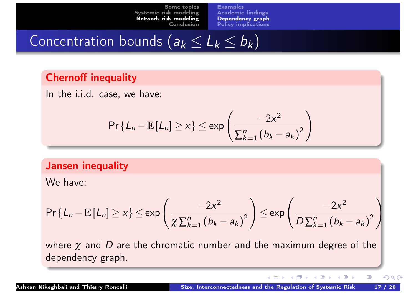**Examples** Academic findings Dependency graph Policy implications

# Concentration bounds  $(a_k \leq L_k \leq b_k)$

#### Chernoff inequality

In the i.i.d. case, we have:

$$
\Pr\left\{L_n - \mathbb{E}\left[L_n\right] \geq x\right\} \leq \exp\left(\frac{-2x^2}{\sum_{k=1}^n \left(b_k - a_k\right)^2}\right)
$$

#### <span id="page-16-0"></span>[Jansen](#page-4-0)[in](#page-4-0)[equality](#page-11-0)

We have:

$$
\Pr\left\{L_n - \mathbb{E}\left[L_n\right] \geq x\right\} \leq \exp\left(\frac{-2x^2}{\chi\sum_{k=1}^n (b_k - a_k)^2}\right) \leq \exp\left(\frac{-2x^2}{D\sum_{k=1}^n (b_k - a_k)^2}\right)
$$

where  $\chi$  and  $D$  are the chromatic number and the maximum degree of the dependency graph.

 $\blacklozenge$   $\Box$   $\blacktriangleright$   $\blacktriangleleft$   $\Box$   $\blacktriangleright$   $\blacktriangleleft$   $\Xi$   $\blacktriangleright$   $\blacktriangleleft$   $\Xi$   $\blacktriangleright$ 

隱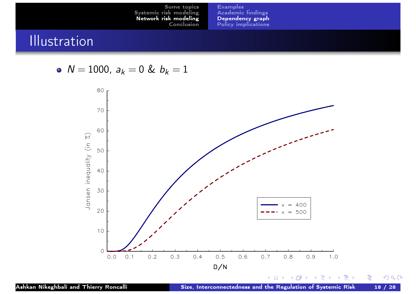Examples Academic findings Dependency graph Policy implications

# **Illustration**

• 
$$
N = 1000
$$
,  $a_k = 0$  &  $b_k = 1$ 

<span id="page-17-0"></span>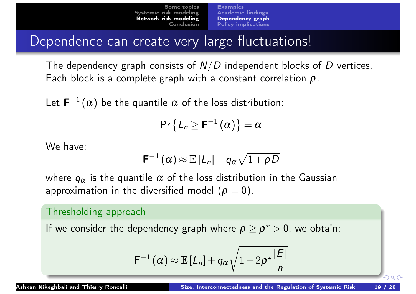**Examples** Academic findings Dependency graph Policy implications

Dependence can create very large fluctuations!

The dependency graph consists of  $N/D$  independent blocks of  $D$  vertices. Each block is a complete graph with a constant correlation  $\rho$ .

Let  $\mathsf{F}^{-1}(\alpha)$  be the quantile  $\alpha$  of the loss distribution:

$$
\mathsf{Pr}\left\{L_n \geq \mathbf{F}^{-1}(\alpha)\right\} = \alpha
$$

We have:

$$
\mathsf{F}^{-1}\left(\alpha\right)\approx\mathbb{E}\left[L_{n}\right]+q_{\alpha}\sqrt{1+\rho\,D}
$$

<span id="page-18-0"></span>where  $q_{\alpha}$  is the quantile  $\alpha$  of the loss distribution in the Gaussian approximation in the diversified model  $(p = 0)$ .

#### Thresholding approach

If we consider the dependency graph where  $\rho \geq \rho^\star > 0$ , we obtain:

$$
\mathbf{F}^{-1}(\alpha) \approx \mathbb{E}\left[L_n\right] + q_\alpha \sqrt{1 + 2\rho^{\star} \frac{|E|}{n}}
$$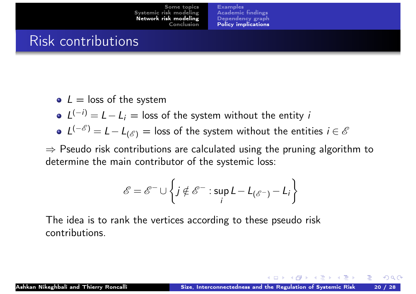**Examples** Academic findings Dependency graph Policy implications

### Risk contributions

- $\bullet$  L = loss of the system
- $L^{(-i)} = L L_i$  = loss of the system without the entity *i*
- $\mathcal{L}^{(-\mathscr{E})} = \mathcal{L} \mathcal{L}_{(\mathscr{E})} =$  loss of the system without the entities  $i \in \mathscr{E}$

<span id="page-19-0"></span> $\Rightarrow$  Pseudo risk contributions are calculated using the pruning algorithm to [determine](#page-4-0) [the main contributo](#page-11-0)r of the systemic loss:

$$
\mathscr{E} = \mathscr{E}^- \cup \left\{ j \notin \mathscr{E}^- : \sup_i L - L_{(\mathscr{E}^-)} - L_i \right\}
$$

The idea is to rank the vertices according to these pseudo risk contributions.

 $\left(\begin{array}{ccc} 1 & 0 & 0 \\ 0 & 1 & 0 \end{array}\right)$  ,  $\left(\begin{array}{ccc} 1 & 0 & 0 \\ 0 & 1 & 0 \end{array}\right)$  ,  $\left(\begin{array}{ccc} 1 & 0 & 0 \\ 0 & 1 & 0 \end{array}\right)$ 

æ.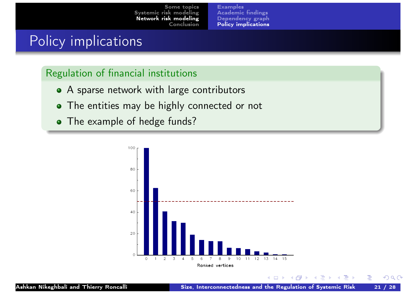Examples Academic findings Dependency graph Policy implications

### Policy implications

#### Regulation of financial institutions

- A sparse network with large contributors
- The entities may be highly connected or not
- <span id="page-20-0"></span>• The example of hedge funds?



佳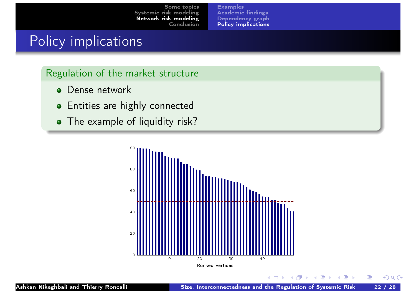Examples Academic findings Dependency graph Policy implications

### Policy implications

#### Regulation of the market structure

- Dense network  $\bullet$
- **•** Entities are highly connected
- <span id="page-21-0"></span>• The example of liquidity risk?



**K ロ ▶ K 御 ▶ K ミ ▶ K ミ ▶** 

佳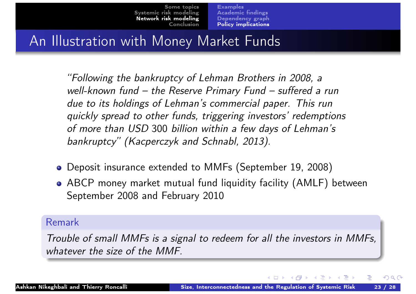**Examples** Academic findings Dependency graph Policy implications

# An Illustration with Money Market Funds

"Following the bankruptcy of Lehman Brothers in 2008, a well-known fund – the Reserve Primary Fund – suffered a run due to its holdings of Lehman's commercial paper. This run quickly spread to other funds, triggering investors' redemptions of more than USD 300 billion within a few days of Lehman's bankruptcy" (Kacperczyk and Schnabl, 2013).

- <span id="page-22-0"></span>[Depo](#page-4-0)[sit](#page-11-0)[insurance](#page-11-0)[extende](#page-11-0)d to MMFs (September 19, 2008)
- ABCP money market mutual fund liquidity facility (AMLF) between September 2008 and February 2010

#### Remark

Trouble of small MMFs is a signal to redeem for all the investors in MMFs, whatever the size of the MMF.

◀ □ ▶ ◀ 何 ▶ ◀ 言 ▶ ◀ 言 ▶

э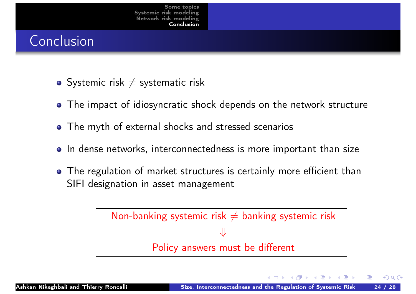# Conclusion

- Systemic risk  $\neq$  systematic risk
- The impact of idiosyncratic shock depends on the network structure
- The myth of external shocks and stressed scenarios
- In dense networks, interconnectedness is more important than size
- <span id="page-23-0"></span>• [The r](#page-23-0)egulation of market structures is certainly more efficient than SIFI designation in asset management

Non-banking systemic risk  $\neq$  banking systemic risk ⇓ Policy answers must be different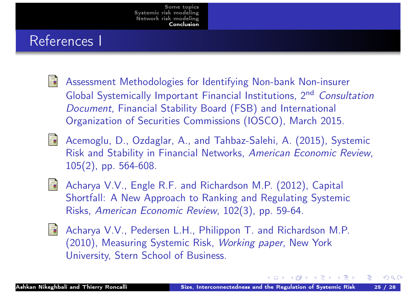### References I

- 譶 Assessment Methodologies for Identifying Non-bank Non-insurer Global Systemically Important Financial Institutions, 2<sup>nd</sup> Consultation Document, Financial Stability Board (FSB) and International Organization of Securities Commissions (IOSCO), March 2015.
- Acemoglu, D., Ozdaglar, A., and Tahbaz-Salehi, A. (2015), Systemic Risk and Stability in Financial Networks, American Economic Review, [105\(2](#page-4-0)), pp. 564-608.
- <span id="page-24-0"></span>Acharya V.V., Engle R.F. and Richardson M.P. (2012), Capital 譶 Shortfall: A New Approach to Ranking and Regulating Systemic Risks, American Economic Review, 102(3), pp. 59-64.
	- Acharya V.V., Pedersen L.H., Philippon T. and Richardson M.P. (2010), Measuring Systemic Risk, Working paper, New York University, Stern School of Business.

 $\left\{ \begin{array}{ccc} 4 & \Box & \rightarrow & 4 & \Box \ \Box & \rightarrow & 4 & \Box \ \end{array} \right.$ 

æ.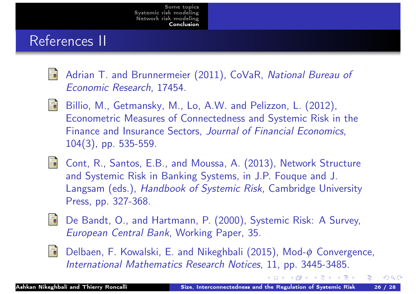### References II

- Adrian T. and Brunnermeier (2011), CoVaR, National Bureau of 螶 Economic Research, 17454.
- Billio, M., Getmansky, M., Lo, A.W. and Pelizzon, L. (2012), 螶 Econometric Measures of Connectedness and Systemic Risk in the Finance and Insurance Sectors, Journal of Financial Economics, 104(3), pp. 535-559.
- <span id="page-25-0"></span>**T** [Cont,](#page-4-0) R., Santos, E.B., and Moussa, A. (2013), Network Structure [and](#page-23-0) [S](#page-23-0)ystemic Risk in Banking Systems, in J.P. Fouque and J. Langsam (eds.), Handbook of Systemic Risk, Cambridge University Press, pp. 327-368.
- De Bandt, O., and Hartmann, P. (2000), Systemic Risk: A Survey, 聶 European Central Bank, Working Paper, 35.
- Æ
	- Delbaen, F. Kowalski, E. and Nikeghbali (2015), Mod- $\phi$  Convergence, International Mathematics Research Notices, 11, pp. 3445-3485.

◀□▶ ◀何▶ ◀ ≡▶ ◀ ≡ ▶ │

æ.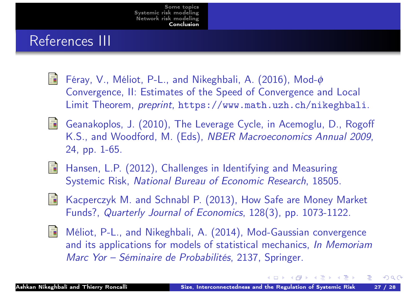### References III

- Féray, V., Méliot, P-L., and Nikeghbali, A. (2016), Mod-φ 螶 Convergence, II: Estimates of the Speed of Convergence and Local Limit Theorem, preprint, https://www.math.uzh.ch/nikeghbali.
- Geanakoplos, J. (2010), The Leverage Cycle, in Acemoglu, D., Rogoff K.S., and Woodford, M. (Eds), NBER Macroeconomics Annual 2009, 24, pp. 1-65.
- <span id="page-26-0"></span>[Hanse](#page-23-0)n, L.P. (2012), Challenges in Identifying and Measuring 聶 Systemic Risk, National Bureau of Economic Research, 18505.
- Kacperczyk M. and Schnabl P. (2013), How Safe are Money Market 霩 Funds?, [Quarterly](https://www.math.uzh.ch/nikeghbali) [Jour](https://www.math.uzh.ch/nikeghbali)nal of Economics, 128(3), pp. 1073-1122.
- Méliot, P-L., and Nikeghbali, A. (2014), Mod-Gaussian convergence 靠 and its applications for models of statistical mechanics, In Memoriam Marc Yor – Séminaire de Probabilités, 2137, Springer.

∢□▶ ィ@ ▶ ィ ≡ ▶ ィ ≡ ▶

æ.